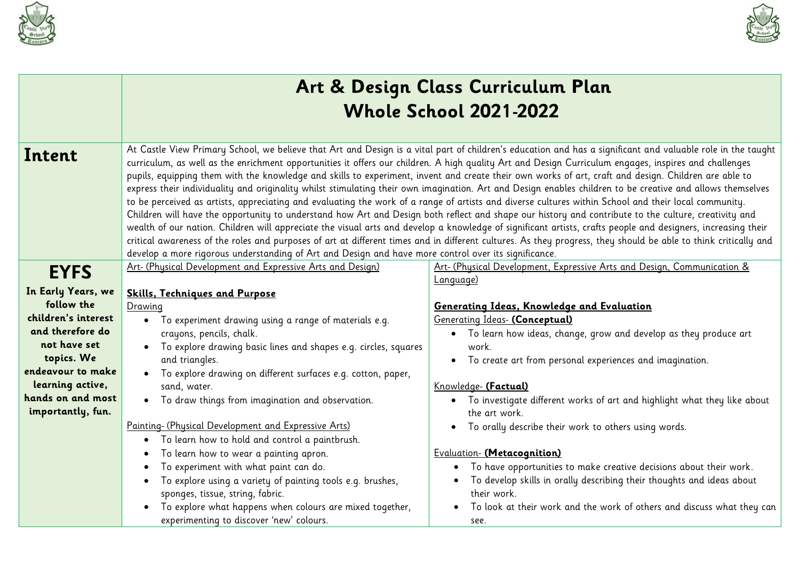



|                                                                                                                                                                                              |                                                                                                                                                                                                                                                                                                                                                                                                                                                                                                                                                                                                                                                                                                                                                                           | Art & Design Class Curriculum Plan<br><b>Whole School 2021-2022</b>                                                                                                                                                                                                                                                                                                                                                                                                                                                                                                                                                                                                                                                                                                                                                                                                                                                                                                                                                                                                                                                                                                                                                                                                                           |
|----------------------------------------------------------------------------------------------------------------------------------------------------------------------------------------------|---------------------------------------------------------------------------------------------------------------------------------------------------------------------------------------------------------------------------------------------------------------------------------------------------------------------------------------------------------------------------------------------------------------------------------------------------------------------------------------------------------------------------------------------------------------------------------------------------------------------------------------------------------------------------------------------------------------------------------------------------------------------------|-----------------------------------------------------------------------------------------------------------------------------------------------------------------------------------------------------------------------------------------------------------------------------------------------------------------------------------------------------------------------------------------------------------------------------------------------------------------------------------------------------------------------------------------------------------------------------------------------------------------------------------------------------------------------------------------------------------------------------------------------------------------------------------------------------------------------------------------------------------------------------------------------------------------------------------------------------------------------------------------------------------------------------------------------------------------------------------------------------------------------------------------------------------------------------------------------------------------------------------------------------------------------------------------------|
| Intent                                                                                                                                                                                       | develop a more rigorous understanding of Art and Design and have more control over its significance.                                                                                                                                                                                                                                                                                                                                                                                                                                                                                                                                                                                                                                                                      | At Castle View Primary School, we believe that Art and Design is a vital part of children's education and has a significant and valuable role in the taught<br>curriculum, as well as the enrichment opportunities it offers our children. A high quality Art and Design Curriculum engages, inspires and challenges<br>pupils, equipping them with the knowledge and skills to experiment, invent and create their own works of art, craft and design. Children are able to<br>express their individuality and originality whilst stimulating their own imagination. Art and Design enables children to be creative and allows themselves<br>to be perceived as artists, appreciating and evaluating the work of a range of artists and diverse cultures within School and their local community.<br>Children will have the opportunity to understand how Art and Design both reflect and shape our history and contribute to the culture, creativity and<br>wealth of our nation. Children will appreciate the visual arts and develop a knowledge of significant artists, crafts people and designers, increasing their<br>critical awareness of the roles and purposes of art at different times and in different cultures. As they progress, they should be able to think critically and |
| <b>EYFS</b>                                                                                                                                                                                  | Art- (Physical Development and Expressive Arts and Design)                                                                                                                                                                                                                                                                                                                                                                                                                                                                                                                                                                                                                                                                                                                | Art- (Physical Development, Expressive Arts and Design, Communication &                                                                                                                                                                                                                                                                                                                                                                                                                                                                                                                                                                                                                                                                                                                                                                                                                                                                                                                                                                                                                                                                                                                                                                                                                       |
| In Early Years, we<br>follow the<br>children's interest<br>and therefore do<br>not have set<br>topics. We<br>endeavour to make<br>learning active,<br>hands on and most<br>importantly, fun. | <b>Skills, Techniques and Purpose</b><br>Drawing<br>• To experiment drawing using a range of materials e.g.<br>crayons, pencils, chalk.<br>To explore drawing basic lines and shapes e.g. circles, squares<br>and triangles.<br>To explore drawing on different surfaces e.g. cotton, paper,<br>sand, water.<br>• To draw things from imagination and observation.<br>Painting- (Physical Development and Expressive Arts)<br>To learn how to hold and control a paintbrush.<br>To learn how to wear a painting apron.<br>To experiment with what paint can do.<br>To explore using a variety of painting tools e.g. brushes,<br>sponges, tissue, string, fabric.<br>To explore what happens when colours are mixed together,<br>experimenting to discover 'new' colours. | Language)<br>Generating Ideas, Knowledge and Evaluation<br><b>Generating Ideas- (Conceptual)</b><br>• To learn how ideas, change, grow and develop as they produce art<br>work.<br>To create art from personal experiences and imagination.<br>$\bullet$<br>Knowledge- (Factual)<br>• To investigate different works of art and highlight what they like about<br>the art work.<br>To orally describe their work to others using words.<br>$\bullet$<br>Evaluation- (Metacognition)<br>To have opportunities to make creative decisions about their work.<br>$\bullet$<br>To develop skills in orally describing their thoughts and ideas about<br>their work.<br>To look at their work and the work of others and discuss what they can<br>$\bullet$<br>see.                                                                                                                                                                                                                                                                                                                                                                                                                                                                                                                                 |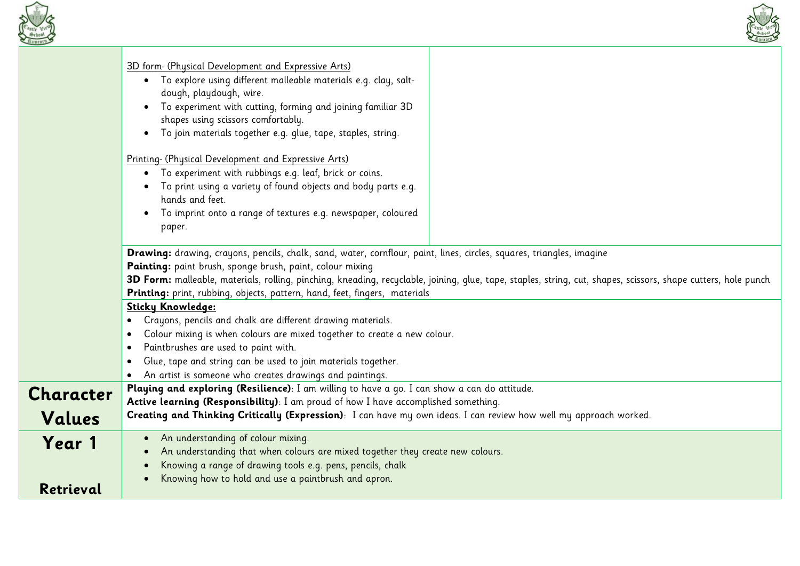



|                            | 3D form- (Physical Development and Expressive Arts)<br>· To explore using different malleable materials e.g. clay, salt-<br>dough, playdough, wire.<br>To experiment with cutting, forming and joining familiar 3D<br>shapes using scissors comfortably.                                                                                                                                                                           |  |
|----------------------------|------------------------------------------------------------------------------------------------------------------------------------------------------------------------------------------------------------------------------------------------------------------------------------------------------------------------------------------------------------------------------------------------------------------------------------|--|
|                            | · To join materials together e.g. glue, tape, staples, string.<br>Printing- (Physical Development and Expressive Arts)<br>To experiment with rubbings e.g. leaf, brick or coins.<br>To print using a variety of found objects and body parts e.g.<br>hands and feet.                                                                                                                                                               |  |
|                            | To imprint onto a range of textures e.g. newspaper, coloured<br>paper.                                                                                                                                                                                                                                                                                                                                                             |  |
|                            | Drawing: drawing, crayons, pencils, chalk, sand, water, cornflour, paint, lines, circles, squares, triangles, imagine<br>Painting: paint brush, sponge brush, paint, colour mixing<br>3D Form: malleable, materials, rolling, pinching, kneading, recyclable, joining, glue, tape, staples, string, cut, shapes, scissors, shape cutters, hole punch<br>Printing: print, rubbing, objects, pattern, hand, feet, fingers, materials |  |
|                            | <b>Sticky Knowledge:</b><br>Crayons, pencils and chalk are different drawing materials.<br>Colour mixing is when colours are mixed together to create a new colour.                                                                                                                                                                                                                                                                |  |
|                            | Paintbrushes are used to paint with.<br>Glue, tape and string can be used to join materials together.<br>An artist is someone who creates drawings and paintings.                                                                                                                                                                                                                                                                  |  |
| <b>Character</b><br>Values | Playing and exploring (Resilience): I am willing to have a go. I can show a can do attitude.<br>Active learning (Responsibility): I am proud of how I have accomplished something.<br>Creating and Thinking Critically (Expression): I can have my own ideas. I can review how well my approach worked.                                                                                                                            |  |
| Year 1<br>Retrieval        | An understanding of colour mixing.<br>An understanding that when colours are mixed together they create new colours.<br>Knowing a range of drawing tools e.g. pens, pencils, chalk<br>Knowing how to hold and use a paintbrush and apron.                                                                                                                                                                                          |  |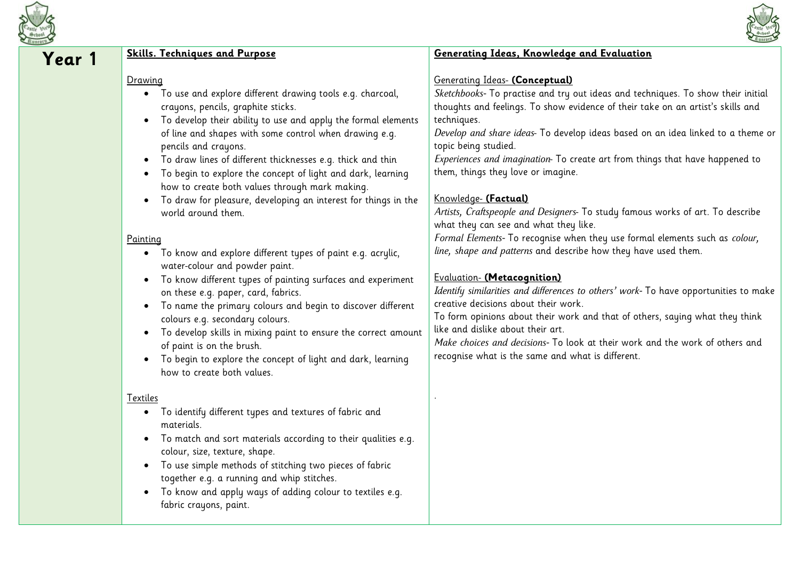



| Year 1 | <b>Skills. Techniques and Purpose</b>                                                                                                                                                                                                                                                                                                                                                                                                                                                                                                                                                                                                                                                                                                                                                                                                                                                                                                                                                                                                                                                                                                                            | Generating Ideas, Knowledge and Evaluation                                                                                                                                                                                                                                                                                                                                                                                                                                                                                                                                                                                                                                                                                                                                                                                                                                                                                                                                                                                                                                                                                                                                               |
|--------|------------------------------------------------------------------------------------------------------------------------------------------------------------------------------------------------------------------------------------------------------------------------------------------------------------------------------------------------------------------------------------------------------------------------------------------------------------------------------------------------------------------------------------------------------------------------------------------------------------------------------------------------------------------------------------------------------------------------------------------------------------------------------------------------------------------------------------------------------------------------------------------------------------------------------------------------------------------------------------------------------------------------------------------------------------------------------------------------------------------------------------------------------------------|------------------------------------------------------------------------------------------------------------------------------------------------------------------------------------------------------------------------------------------------------------------------------------------------------------------------------------------------------------------------------------------------------------------------------------------------------------------------------------------------------------------------------------------------------------------------------------------------------------------------------------------------------------------------------------------------------------------------------------------------------------------------------------------------------------------------------------------------------------------------------------------------------------------------------------------------------------------------------------------------------------------------------------------------------------------------------------------------------------------------------------------------------------------------------------------|
|        | Drawing<br>• To use and explore different drawing tools e.g. charcoal,<br>crayons, pencils, graphite sticks.<br>To develop their ability to use and apply the formal elements<br>$\bullet$<br>of line and shapes with some control when drawing e.g.<br>pencils and crayons.<br>To draw lines of different thicknesses e.g. thick and thin<br>$\bullet$<br>To begin to explore the concept of light and dark, learning<br>$\bullet$<br>how to create both values through mark making.<br>To draw for pleasure, developing an interest for things in the<br>$\bullet$<br>world around them.<br>Painting<br>• To know and explore different types of paint e.g. acrylic,<br>water-colour and powder paint.<br>To know different types of painting surfaces and experiment<br>$\bullet$<br>on these e.g. paper, card, fabrics.<br>To name the primary colours and begin to discover different<br>$\bullet$<br>colours e.g. secondary colours.<br>To develop skills in mixing paint to ensure the correct amount<br>$\bullet$<br>of paint is on the brush.<br>To begin to explore the concept of light and dark, learning<br>$\bullet$<br>how to create both values. | <b>Generating Ideas- (Conceptual)</b><br>Sketchbooks- To practise and try out ideas and techniques. To show their initial<br>thoughts and feelings. To show evidence of their take on an artist's skills and<br>techniques.<br>Develop and share ideas- To develop ideas based on an idea linked to a theme or<br>topic being studied.<br>Experiences and imagination To create art from things that have happened to<br>them, things they love or imagine.<br>Knowledge- (Factual)<br>Artists, Craftspeople and Designers- To study famous works of art. To describe<br>what they can see and what they like.<br>Formal Elements- To recognise when they use formal elements such as colour,<br>line, shape and patterns and describe how they have used them.<br>Evaluation- (Metacognition)<br>Identify similarities and differences to others' work- To have opportunities to make<br>creative decisions about their work.<br>To form opinions about their work and that of others, saying what they think<br>like and dislike about their art.<br>Make choices and decisions- To look at their work and the work of others and<br>recognise what is the same and what is different. |
|        | Textiles<br>To identify different types and textures of fabric and<br>$\bullet$<br>materials.<br>To match and sort materials according to their qualities e.g.<br>$\bullet$<br>colour, size, texture, shape.<br>To use simple methods of stitching two pieces of fabric<br>$\bullet$<br>together e.g. a running and whip stitches.<br>To know and apply ways of adding colour to textiles e.g.<br>$\bullet$<br>fabric crayons, paint.                                                                                                                                                                                                                                                                                                                                                                                                                                                                                                                                                                                                                                                                                                                            |                                                                                                                                                                                                                                                                                                                                                                                                                                                                                                                                                                                                                                                                                                                                                                                                                                                                                                                                                                                                                                                                                                                                                                                          |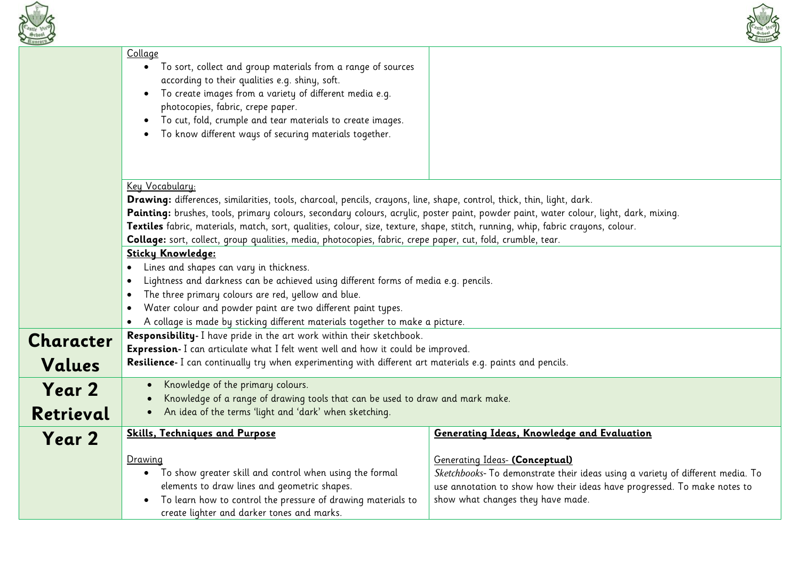



|           | Collage<br>• To sort, collect and group materials from a range of sources<br>according to their qualities e.g. shiny, soft.<br>To create images from a variety of different media e.g.<br>$\bullet$<br>photocopies, fabric, crepe paper.<br>To cut, fold, crumple and tear materials to create images.<br>$\bullet$<br>To know different ways of securing materials together.<br>$\bullet$                             |                                                                                                                                                                                                                                   |
|-----------|------------------------------------------------------------------------------------------------------------------------------------------------------------------------------------------------------------------------------------------------------------------------------------------------------------------------------------------------------------------------------------------------------------------------|-----------------------------------------------------------------------------------------------------------------------------------------------------------------------------------------------------------------------------------|
|           | Key Vocabulary:<br>Drawing: differences, similarities, tools, charcoal, pencils, crayons, line, shape, control, thick, thin, light, dark.<br>Painting: brushes, tools, primary colours, secondary colours, acrylic, poster paint, powder paint, water colour, light, dark, mixing.<br>Textiles fabric, materials, match, sort, qualities, colour, size, texture, shape, stitch, running, whip, fabric crayons, colour. |                                                                                                                                                                                                                                   |
|           | Collage: sort, collect, group qualities, media, photocopies, fabric, crepe paper, cut, fold, crumble, tear.<br>Sticky Knowledge:                                                                                                                                                                                                                                                                                       |                                                                                                                                                                                                                                   |
|           | Lines and shapes can vary in thickness.                                                                                                                                                                                                                                                                                                                                                                                |                                                                                                                                                                                                                                   |
|           | Lightness and darkness can be achieved using different forms of media e.g. pencils.                                                                                                                                                                                                                                                                                                                                    |                                                                                                                                                                                                                                   |
|           | The three primary colours are red, yellow and blue.<br>$\bullet$                                                                                                                                                                                                                                                                                                                                                       |                                                                                                                                                                                                                                   |
|           | Water colour and powder paint are two different paint types.                                                                                                                                                                                                                                                                                                                                                           |                                                                                                                                                                                                                                   |
|           | A collage is made by sticking different materials together to make a picture.                                                                                                                                                                                                                                                                                                                                          |                                                                                                                                                                                                                                   |
| Character | Responsibility- I have pride in the art work within their sketchbook.                                                                                                                                                                                                                                                                                                                                                  |                                                                                                                                                                                                                                   |
|           | Expression- I can articulate what I felt went well and how it could be improved.                                                                                                                                                                                                                                                                                                                                       |                                                                                                                                                                                                                                   |
| Values    | Resilience- I can continually try when experimenting with different art materials e.g. paints and pencils.                                                                                                                                                                                                                                                                                                             |                                                                                                                                                                                                                                   |
| Year 2    | Knowledge of the primary colours.                                                                                                                                                                                                                                                                                                                                                                                      |                                                                                                                                                                                                                                   |
|           | Knowledge of a range of drawing tools that can be used to draw and mark make.                                                                                                                                                                                                                                                                                                                                          |                                                                                                                                                                                                                                   |
| Retrieval | An idea of the terms 'light and 'dark' when sketching.<br>$\bullet$                                                                                                                                                                                                                                                                                                                                                    |                                                                                                                                                                                                                                   |
| Year 2    | <b>Skills, Techniques and Purpose</b>                                                                                                                                                                                                                                                                                                                                                                                  | Generating Ideas, Knowledge and Evaluation                                                                                                                                                                                        |
|           | Drawing<br>• To show greater skill and control when using the formal<br>elements to draw lines and geometric shapes.<br>To learn how to control the pressure of drawing materials to<br>create lighter and darker tones and marks.                                                                                                                                                                                     | Generating Ideas- (Conceptual)<br>Sketchbooks- To demonstrate their ideas using a variety of different media. To<br>use annotation to show how their ideas have progressed. To make notes to<br>show what changes they have made. |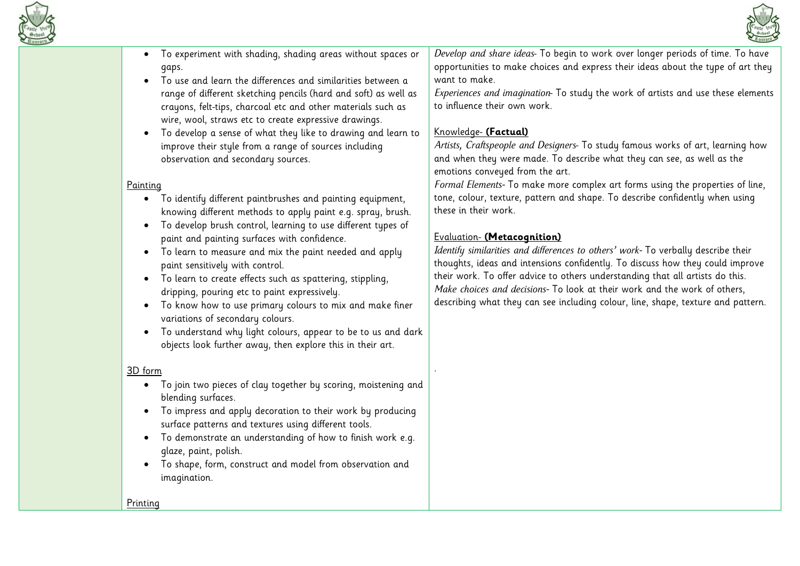



- To experiment with shading, shading areas without spaces or gaps.
- To use and learn the differences and similarities between a range of different sketching pencils (hard and soft) as well as crayons, felt-tips, charcoal etc and other materials such as wire, wool, straws etc to create expressive drawings.
- To develop a sense of what they like to drawing and learn to improve their style from a range of sources including observation and secondary sources.

#### Painting

- To identify different paintbrushes and painting equipment, knowing different methods to apply paint e.g. spray, brush.
- To develop brush control, learning to use different types of paint and painting surfaces with confidence.
- To learn to measure and mix the paint needed and apply paint sensitively with control.
- To learn to create effects such as spattering, stippling, dripping, pouring etc to paint expressively.
- To know how to use primary colours to mix and make finer variations of secondary colours.
- To understand why light colours, appear to be to us and dark objects look further away, then explore this in their art.

#### 3D form

- To join two pieces of clay together by scoring, moistening and blending surfaces.
- To impress and apply decoration to their work by producing surface patterns and textures using different tools.
- To demonstrate an understanding of how to finish work e.g. glaze, paint, polish.
- To shape, form, construct and model from observation and imagination.

*Develop and share ideas*- To begin to work over longer periods of time. To have opportunities to make choices and express their ideas about the type of art they want to make.

*Experiences and imagination*- To study the work of artists and use these elements to influence their own work.

# Knowledge- **(Factual)**

*Artists, Craftspeople and Designers*- To study famous works of art, learning how and when they were made. To describe what they can see, as well as the emotions conveyed from the art.

*Formal Elements-* To make more complex art forms using the properties of line, tone, colour, texture, pattern and shape. To describe confidently when using these in their work.

## Evaluation- **(Metacognition)**

.

*Identify similarities and differences to others' work-* To verbally describe their thoughts, ideas and intensions confidently. To discuss how they could improve their work. To offer advice to others understanding that all artists do this. *Make choices and decisions-* To look at their work and the work of others, describing what they can see including colour, line, shape, texture and pattern.

Printing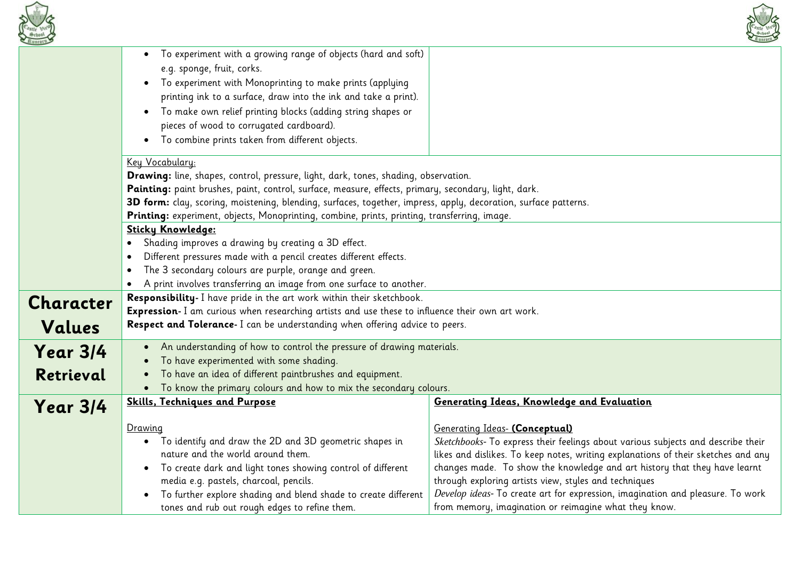



|           | To experiment with a growing range of objects (hard and soft)<br>$\bullet$                                      |                                                                                   |
|-----------|-----------------------------------------------------------------------------------------------------------------|-----------------------------------------------------------------------------------|
|           | e.g. sponge, fruit, corks.                                                                                      |                                                                                   |
|           | To experiment with Monoprinting to make prints (applying<br>$\bullet$                                           |                                                                                   |
|           | printing ink to a surface, draw into the ink and take a print).                                                 |                                                                                   |
|           | To make own relief printing blocks (adding string shapes or                                                     |                                                                                   |
|           | pieces of wood to corrugated cardboard).                                                                        |                                                                                   |
|           | To combine prints taken from different objects.                                                                 |                                                                                   |
|           |                                                                                                                 |                                                                                   |
|           | Key Vocabulary:                                                                                                 |                                                                                   |
|           | Drawing: line, shapes, control, pressure, light, dark, tones, shading, observation.                             |                                                                                   |
|           | Painting: paint brushes, paint, control, surface, measure, effects, primary, secondary, light, dark.            |                                                                                   |
|           | 3D form: clay, scoring, moistening, blending, surfaces, together, impress, apply, decoration, surface patterns. |                                                                                   |
|           | Printing: experiment, objects, Monoprinting, combine, prints, printing, transferring, image.                    |                                                                                   |
|           | Sticky Knowledge:                                                                                               |                                                                                   |
|           | Shading improves a drawing by creating a 3D effect.                                                             |                                                                                   |
|           | Different pressures made with a pencil creates different effects.                                               |                                                                                   |
|           | The 3 secondary colours are purple, orange and green.                                                           |                                                                                   |
|           | A print involves transferring an image from one surface to another.                                             |                                                                                   |
| Character | Responsibility- I have pride in the art work within their sketchbook.                                           |                                                                                   |
|           | Expression- I am curious when researching artists and use these to influence their own art work.                |                                                                                   |
| Values    | Respect and Tolerance- I can be understanding when offering advice to peers.                                    |                                                                                   |
|           | • An understanding of how to control the pressure of drawing materials.                                         |                                                                                   |
| Year 3/4  | To have experimented with some shading.                                                                         |                                                                                   |
| Retrieval | To have an idea of different paintbrushes and equipment.                                                        |                                                                                   |
|           | To know the primary colours and how to mix the secondary colours.<br>$\bullet$                                  |                                                                                   |
| Year 314  | <b>Skills, Techniques and Purpose</b>                                                                           | Generating Ideas, Knowledge and Evaluation                                        |
|           |                                                                                                                 |                                                                                   |
|           | Drawing                                                                                                         | <b>Generating Ideas- (Conceptual)</b>                                             |
|           | To identify and draw the 2D and 3D geometric shapes in<br>$\bullet$                                             | Sketchbooks- To express their feelings about various subjects and describe their  |
|           | nature and the world around them.                                                                               | likes and dislikes. To keep notes, writing explanations of their sketches and any |
|           | To create dark and light tones showing control of different                                                     | changes made. To show the knowledge and art history that they have learnt         |
|           | media e.g. pastels, charcoal, pencils.                                                                          | through exploring artists view, styles and techniques                             |
|           | To further explore shading and blend shade to create different                                                  | Develop ideas- To create art for expression, imagination and pleasure. To work    |
|           | tones and rub out rough edges to refine them.                                                                   | from memory, imagination or reimagine what they know.                             |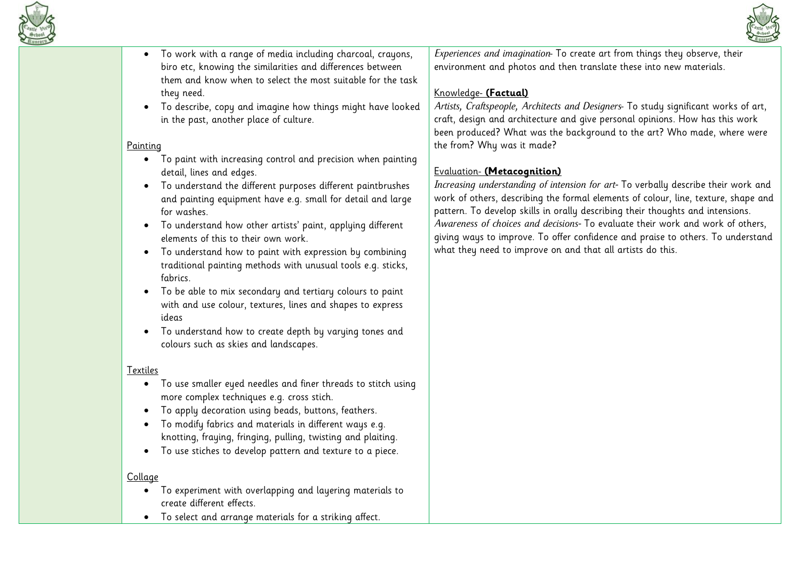



- To work with a range of media including charcoal, crayons, biro etc, knowing the similarities and differences between them and know when to select the most suitable for the task they need.
- To describe, copy and imagine how things might have looked in the past, another place of culture.

## Painting

- To paint with increasing control and precision when painting detail, lines and edges.
- To understand the different purposes different paintbrushes and painting equipment have e.g. small for detail and large for washes.
- To understand how other artists' paint, applying different elements of this to their own work.
- To understand how to paint with expression by combining traditional painting methods with unusual tools e.g. sticks, fabrics.
- To be able to mix secondary and tertiary colours to paint with and use colour, textures, lines and shapes to express ideas
- To understand how to create depth by varying tones and colours such as skies and landscapes.

#### Textiles

- To use smaller eyed needles and finer threads to stitch using more complex techniques e.g. cross stich.
- To apply decoration using beads, buttons, feathers.
- To modify fabrics and materials in different ways e.g. knotting, fraying, fringing, pulling, twisting and plaiting.
- To use stiches to develop pattern and texture to a piece.

#### **Collage**

- To experiment with overlapping and layering materials to create different effects.
- To select and arrange materials for a striking affect.

*Experiences and imagination*- To create art from things they observe, their environment and photos and then translate these into new materials.

# Knowledge- **(Factual)**

*Artists, Craftspeople, Architects and Designers*- To study significant works of art, craft, design and architecture and give personal opinions. How has this work been produced? What was the background to the art? Who made, where were the from? Why was it made?

## Evaluation- **(Metacognition)**

*Increasing understanding of intension for art-* To verbally describe their work and work of others, describing the formal elements of colour, line, texture, shape and pattern. To develop skills in orally describing their thoughts and intensions. *Awareness of choices and decisions-* To evaluate their work and work of others, giving ways to improve. To offer confidence and praise to others. To understand what they need to improve on and that all artists do this.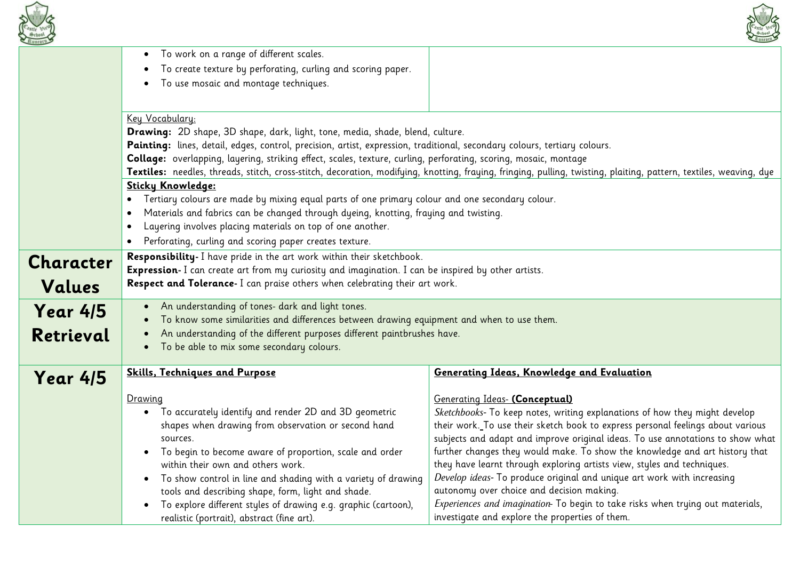



| $45$ lintory                 |                                                                                                                                                                                                                                                                                                                                                                                                                                                                                                                                                                                                                                                                               |                                                                                                                                                                                                                                                                                                                                                                                                                                                                                                                                                                                                                                                                                                                                                       |
|------------------------------|-------------------------------------------------------------------------------------------------------------------------------------------------------------------------------------------------------------------------------------------------------------------------------------------------------------------------------------------------------------------------------------------------------------------------------------------------------------------------------------------------------------------------------------------------------------------------------------------------------------------------------------------------------------------------------|-------------------------------------------------------------------------------------------------------------------------------------------------------------------------------------------------------------------------------------------------------------------------------------------------------------------------------------------------------------------------------------------------------------------------------------------------------------------------------------------------------------------------------------------------------------------------------------------------------------------------------------------------------------------------------------------------------------------------------------------------------|
|                              | To work on a range of different scales.<br>To create texture by perforating, curling and scoring paper.<br>To use mosaic and montage techniques.                                                                                                                                                                                                                                                                                                                                                                                                                                                                                                                              |                                                                                                                                                                                                                                                                                                                                                                                                                                                                                                                                                                                                                                                                                                                                                       |
|                              | Key Vocabulary:<br>Drawing: 2D shape, 3D shape, dark, light, tone, media, shade, blend, culture.<br>Painting: lines, detail, edges, control, precision, artist, expression, traditional, secondary colours, tertiary colours.<br>Collage: overlapping, layering, striking effect, scales, texture, curling, perforating, scoring, mosaic, montage<br><b>Sticky Knowledge:</b><br>Tertiary colours are made by mixing equal parts of one primary colour and one secondary colour.<br>$\bullet$<br>Materials and fabrics can be changed through dyeing, knotting, fraying and twisting.<br>$\bullet$<br>Layering involves placing materials on top of one another.<br>$\bullet$ | Textiles: needles, threads, stitch, cross-stitch, decoration, modifying, knotting, fraying, fringing, pulling, twisting, plaiting, pattern, textiles, weaving, dye                                                                                                                                                                                                                                                                                                                                                                                                                                                                                                                                                                                    |
| <b>Character</b><br>Values   | Perforating, curling and scoring paper creates texture.<br>Responsibility- I have pride in the art work within their sketchbook.<br>Expression- I can create art from my curiosity and imagination. I can be inspired by other artists.<br>Respect and Tolerance- I can praise others when celebrating their art work.                                                                                                                                                                                                                                                                                                                                                        |                                                                                                                                                                                                                                                                                                                                                                                                                                                                                                                                                                                                                                                                                                                                                       |
| <b>Year 4/5</b><br>Retrieval | An understanding of tones- dark and light tones.<br>$\bullet$<br>To know some similarities and differences between drawing equipment and when to use them.<br>An understanding of the different purposes different paintbrushes have.<br>To be able to mix some secondary colours.                                                                                                                                                                                                                                                                                                                                                                                            |                                                                                                                                                                                                                                                                                                                                                                                                                                                                                                                                                                                                                                                                                                                                                       |
| <b>Year 4/5</b>              | <b>Skills, Techniques and Purpose</b><br>Drawing<br>• To accurately identify and render 2D and 3D geometric<br>shapes when drawing from observation or second hand<br>sources.<br>To begin to become aware of proportion, scale and order<br>within their own and others work.<br>To show control in line and shading with a variety of drawing<br>tools and describing shape, form, light and shade.<br>To explore different styles of drawing e.g. graphic (cartoon),<br>realistic (portrait), abstract (fine art).                                                                                                                                                         | Generating Ideas, Knowledge and Evaluation<br>Generating Ideas- (Conceptual)<br>Sketchbooks- To keep notes, writing explanations of how they might develop<br>their work. To use their sketch book to express personal feelings about various<br>subjects and adapt and improve original ideas. To use annotations to show what<br>further changes they would make. To show the knowledge and art history that<br>they have learnt through exploring artists view, styles and techniques.<br>Develop ideas- To produce original and unique art work with increasing<br>autonomy over choice and decision making.<br>Experiences and imagination- To begin to take risks when trying out materials,<br>investigate and explore the properties of them. |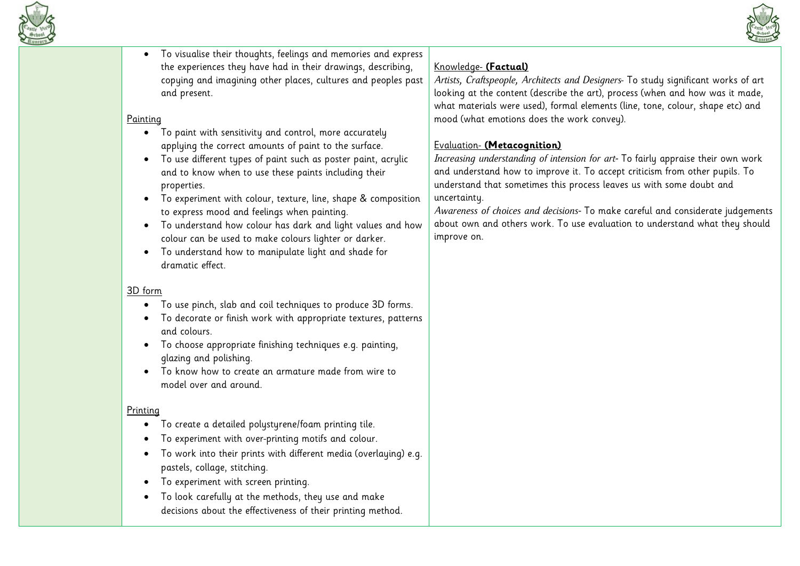



• To visualise their thoughts, feelings and memories and express the experiences they have had in their drawings, describing, copying and imagining other places, cultures and peoples past and present.

## **Painting**

- To paint with sensitivity and control, more accurately applying the correct amounts of paint to the surface.
- To use different types of paint such as poster paint, acrylic and to know when to use these paints including their properties.
- To experiment with colour, texture, line, shape & composition to express mood and feelings when painting.
- To understand how colour has dark and light values and how colour can be used to make colours lighter or darker.
- To understand how to manipulate light and shade for dramatic effect.

#### 3D form

- To use pinch, slab and coil techniques to produce 3D forms.
- To decorate or finish work with appropriate textures, patterns and colours.
- To choose appropriate finishing techniques e.g. painting, glazing and polishing.
- To know how to create an armature made from wire to model over and around.

## Printing

- To create a detailed polystyrene/foam printing tile.
- To experiment with over-printing motifs and colour.
- To work into their prints with different media (overlaying) e.g. pastels, collage, stitching.
- To experiment with screen printing.
- To look carefully at the methods, they use and make decisions about the effectiveness of their printing method.

# Knowledge- **(Factual)**

*Artists, Craftspeople, Architects and Designers*- To study significant works of art looking at the content (describe the art), process (when and how was it made, what materials were used), formal elements (line, tone, colour, shape etc) and mood (what emotions does the work convey).

# Evaluation- **(Metacognition)**

*Increasing understanding of intension for art-* To fairly appraise their own work and understand how to improve it. To accept criticism from other pupils. To understand that sometimes this process leaves us with some doubt and uncertainty.

*Awareness of choices and decisions-* To make careful and considerate judgements about own and others work. To use evaluation to understand what they should improve on.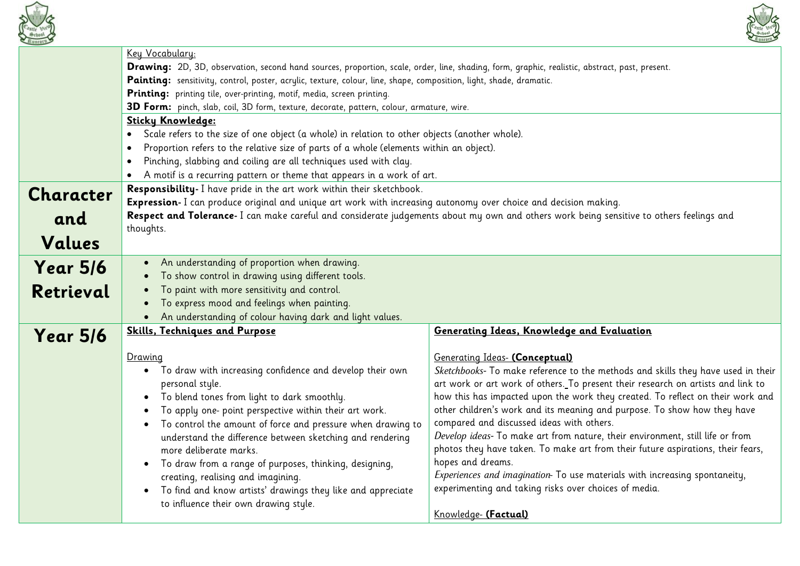



| Buncorn >       |                                                                                                                                                | ATHIO                                                                                                                              |
|-----------------|------------------------------------------------------------------------------------------------------------------------------------------------|------------------------------------------------------------------------------------------------------------------------------------|
|                 | Key Vocabulary:                                                                                                                                |                                                                                                                                    |
|                 | Drawing: 2D, 3D, observation, second hand sources, proportion, scale, order, line, shading, form, graphic, realistic, abstract, past, present. |                                                                                                                                    |
|                 | Painting: sensitivity, control, poster, acrylic, texture, colour, line, shape, composition, light, shade, dramatic.                            |                                                                                                                                    |
|                 | Printing: printing tile, over-printing, motif, media, screen printing.                                                                         |                                                                                                                                    |
|                 | 3D Form: pinch, slab, coil, 3D form, texture, decorate, pattern, colour, armature, wire.                                                       |                                                                                                                                    |
|                 | Sticky Knowledge:                                                                                                                              |                                                                                                                                    |
|                 | Scale refers to the size of one object (a whole) in relation to other objects (another whole).                                                 |                                                                                                                                    |
|                 | Proportion refers to the relative size of parts of a whole (elements within an object).<br>$\bullet$                                           |                                                                                                                                    |
|                 | Pinching, slabbing and coiling are all techniques used with clay.<br>$\bullet$                                                                 |                                                                                                                                    |
|                 | A motif is a recurring pattern or theme that appears in a work of art.                                                                         |                                                                                                                                    |
| Character       | Responsibility- I have pride in the art work within their sketchbook.                                                                          |                                                                                                                                    |
|                 | Expression- I can produce original and unique art work with increasing autonomy over choice and decision making.                               |                                                                                                                                    |
| and             | Respect and Tolerance- I can make careful and considerate judgements about my own and others work being sensitive to others feelings and       |                                                                                                                                    |
|                 | thoughts.                                                                                                                                      |                                                                                                                                    |
| Values          |                                                                                                                                                |                                                                                                                                    |
| <b>Year 5/6</b> | An understanding of proportion when drawing.<br>$\bullet$                                                                                      |                                                                                                                                    |
|                 | To show control in drawing using different tools.                                                                                              |                                                                                                                                    |
| Retrieval       | To paint with more sensitivity and control.                                                                                                    |                                                                                                                                    |
|                 | To express mood and feelings when painting.<br>$\bullet$                                                                                       |                                                                                                                                    |
|                 | An understanding of colour having dark and light values.<br>$\bullet$                                                                          |                                                                                                                                    |
| <b>Year 5/6</b> | <b>Skills, Techniques and Purpose</b>                                                                                                          | Generating Ideas, Knowledge and Evaluation                                                                                         |
|                 |                                                                                                                                                |                                                                                                                                    |
|                 | Drawing                                                                                                                                        | Generating Ideas- (Conceptual)                                                                                                     |
|                 | To draw with increasing confidence and develop their own<br>$\bullet$                                                                          | Sketchbooks- To make reference to the methods and skills they have used in their                                                   |
|                 | personal style.                                                                                                                                | art work or art work of others. To present their research on artists and link to                                                   |
|                 | To blend tones from light to dark smoothly.                                                                                                    | how this has impacted upon the work they created. To reflect on their work and                                                     |
|                 | To apply one- point perspective within their art work.                                                                                         | other children's work and its meaning and purpose. To show how they have                                                           |
|                 | To control the amount of force and pressure when drawing to                                                                                    | compared and discussed ideas with others.                                                                                          |
|                 | understand the difference between sketching and rendering                                                                                      | Develop ideas- To make art from nature, their environment, still life or from                                                      |
|                 | more deliberate marks.                                                                                                                         | photos they have taken. To make art from their future aspirations, their fears,                                                    |
|                 | To draw from a range of purposes, thinking, designing,<br>$\bullet$                                                                            | hopes and dreams.                                                                                                                  |
|                 | creating, realising and imagining.                                                                                                             | Experiences and imagination To use materials with increasing spontaneity,<br>experimenting and taking risks over choices of media. |
|                 | To find and know artists' drawings they like and appreciate                                                                                    |                                                                                                                                    |
|                 | to influence their own drawing style.                                                                                                          | Knowledge- (Factual)                                                                                                               |
|                 |                                                                                                                                                |                                                                                                                                    |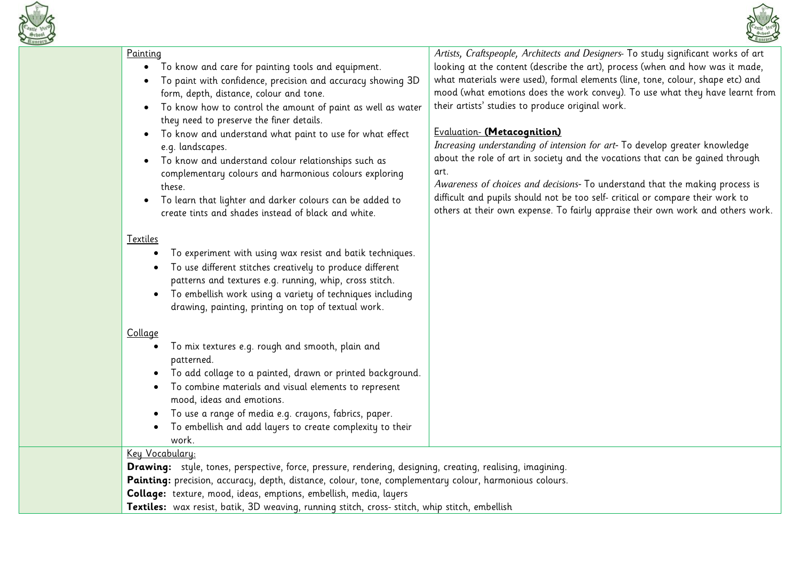

#### Painting



- To paint with confidence, precision and accuracy showing 3D form, depth, distance, colour and tone.
- To know how to control the amount of paint as well as water they need to preserve the finer details.
- To know and understand what paint to use for what effect e.g. landscapes.
- To know and understand colour relationships such as complementary colours and harmonious colours exploring these.
- To learn that lighter and darker colours can be added to create tints and shades instead of black and white.

#### Textiles

- To experiment with using wax resist and batik techniques.
- To use different stitches creatively to produce different patterns and textures e.g. running, whip, cross stitch.
- To embellish work using a variety of techniques including drawing, painting, printing on top of textual work.

## Collage

- To mix textures e.g. rough and smooth, plain and patterned.
- To add collage to a painted, drawn or printed background.
- To combine materials and visual elements to represent mood, ideas and emotions.
- To use a range of media e.g. crayons, fabrics, paper.
- To embellish and add layers to create complexity to their work.

# Key Vocabulary:

**Drawing:** style, tones, perspective, force, pressure, rendering, designing, creating, realising, imagining. Painting: precision, accuracy, depth, distance, colour, tone, complementary colour, harmonious colours. **Collage:** texture, mood, ideas, emptions, embellish, media, layers **Textiles:** wax resist, batik, 3D weaving, running stitch, cross- stitch, whip stitch, embellish

*Artists, Craftspeople, Architects and Designers*- To study significant works of art looking at the content (describe the art), process (when and how was it made, what materials were used), formal elements (line, tone, colour, shape etc) and mood (what emotions does the work convey). To use what they have learnt from their artists' studies to produce original work.

## Evaluation- **(Metacognition)**

*Increasing understanding of intension for art-* To develop greater knowledge about the role of art in society and the vocations that can be gained through art.

*Awareness of choices and decisions-* To understand that the making process is difficult and pupils should not be too self- critical or compare their work to others at their own expense. To fairly appraise their own work and others work.